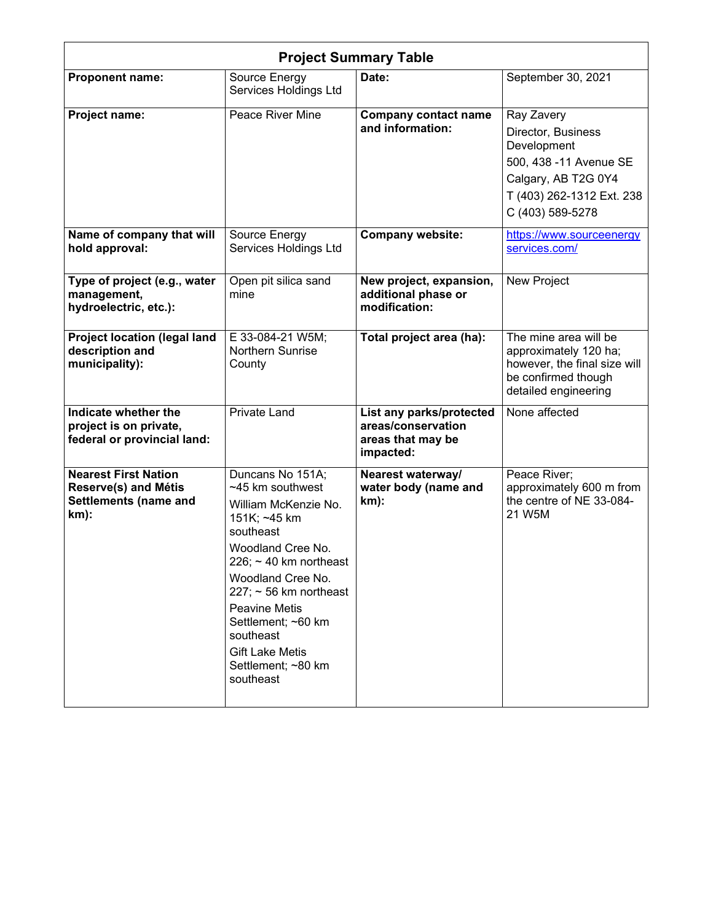| <b>Project Summary Table</b>                                                                          |                                                                                                                                                                                                                                                                                                                         |                                                                                  |                                                                                                                                                   |  |
|-------------------------------------------------------------------------------------------------------|-------------------------------------------------------------------------------------------------------------------------------------------------------------------------------------------------------------------------------------------------------------------------------------------------------------------------|----------------------------------------------------------------------------------|---------------------------------------------------------------------------------------------------------------------------------------------------|--|
| Proponent name:                                                                                       | Source Energy<br>Services Holdings Ltd                                                                                                                                                                                                                                                                                  | Date:                                                                            | September 30, 2021                                                                                                                                |  |
| <b>Project name:</b>                                                                                  | Peace River Mine                                                                                                                                                                                                                                                                                                        | <b>Company contact name</b><br>and information:                                  | Ray Zavery<br>Director, Business<br>Development<br>500, 438 -11 Avenue SE<br>Calgary, AB T2G 0Y4<br>T (403) 262-1312 Ext. 238<br>C (403) 589-5278 |  |
| Name of company that will<br>hold approval:                                                           | Source Energy<br>Services Holdings Ltd                                                                                                                                                                                                                                                                                  | <b>Company website:</b>                                                          | https://www.sourceenergy<br>services.com/                                                                                                         |  |
| Type of project (e.g., water<br>management,<br>hydroelectric, etc.):                                  | Open pit silica sand<br>mine                                                                                                                                                                                                                                                                                            | New project, expansion,<br>additional phase or<br>modification:                  | New Project                                                                                                                                       |  |
| <b>Project location (legal land</b><br>description and<br>municipality):                              | E 33-084-21 W5M;<br><b>Northern Sunrise</b><br>County                                                                                                                                                                                                                                                                   | Total project area (ha):                                                         | The mine area will be<br>approximately 120 ha;<br>however, the final size will<br>be confirmed though<br>detailed engineering                     |  |
| Indicate whether the<br>project is on private,<br>federal or provincial land:                         | <b>Private Land</b>                                                                                                                                                                                                                                                                                                     | List any parks/protected<br>areas/conservation<br>areas that may be<br>impacted: | None affected                                                                                                                                     |  |
| <b>Nearest First Nation</b><br><b>Reserve(s) and Métis</b><br><b>Settlements (name and</b><br>$km$ ): | Duncans No 151A;<br>~45 km southwest<br>William McKenzie No.<br>151K; ~45 km<br>southeast<br>Woodland Cree No.<br>226; $\sim$ 40 km northeast<br>Woodland Cree No.<br>$227$ ; ~ 56 km northeast<br><b>Peavine Metis</b><br>Settlement; ~60 km<br>southeast<br><b>Gift Lake Metis</b><br>Settlement; ~80 km<br>southeast | Nearest waterway/<br>water body (name and<br>$km)$ :                             | Peace River;<br>approximately 600 m from<br>the centre of NE 33-084-<br>21 W5M                                                                    |  |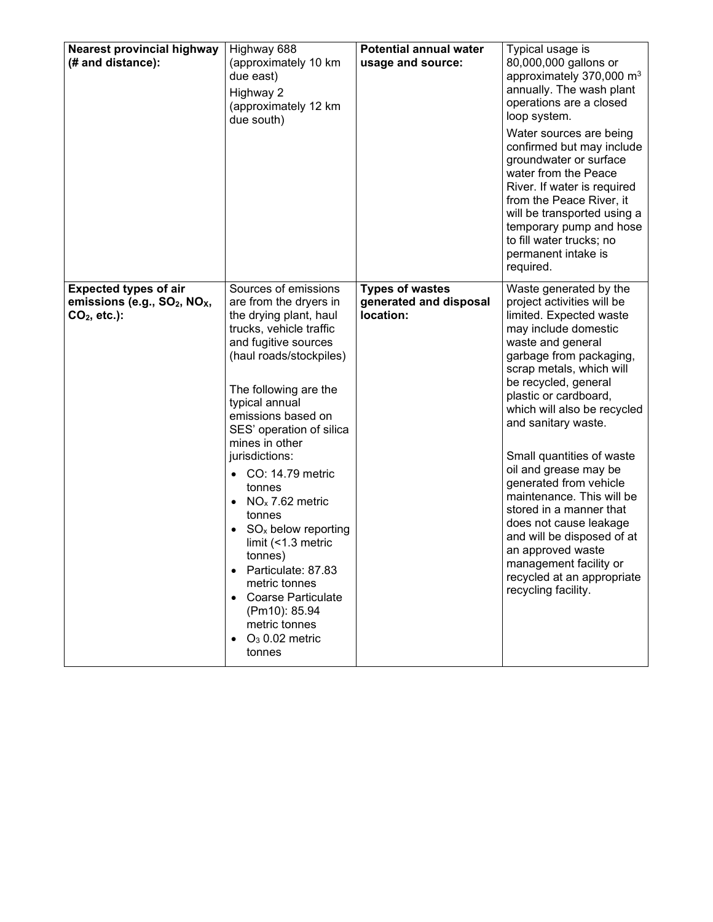| <b>Nearest provincial highway</b><br>(# and distance):                                                 | Highway 688<br>(approximately 10 km<br>due east)<br>Highway 2<br>(approximately 12 km<br>due south)                                                                                                                                                                                                                                                                                                                                                                                                                                                                | <b>Potential annual water</b><br>usage and source:            | Typical usage is<br>80,000,000 gallons or<br>approximately 370,000 m <sup>3</sup><br>annually. The wash plant<br>operations are a closed<br>loop system.<br>Water sources are being<br>confirmed but may include<br>groundwater or surface<br>water from the Peace<br>River. If water is required<br>from the Peace River, it<br>will be transported using a<br>temporary pump and hose<br>to fill water trucks; no<br>permanent intake is<br>required.                                                                                                                                        |
|--------------------------------------------------------------------------------------------------------|--------------------------------------------------------------------------------------------------------------------------------------------------------------------------------------------------------------------------------------------------------------------------------------------------------------------------------------------------------------------------------------------------------------------------------------------------------------------------------------------------------------------------------------------------------------------|---------------------------------------------------------------|------------------------------------------------------------------------------------------------------------------------------------------------------------------------------------------------------------------------------------------------------------------------------------------------------------------------------------------------------------------------------------------------------------------------------------------------------------------------------------------------------------------------------------------------------------------------------------------------|
| <b>Expected types of air</b><br>emissions (e.g., SO <sub>2</sub> , NO <sub>x</sub> ,<br>$CO2$ , etc.): | Sources of emissions<br>are from the dryers in<br>the drying plant, haul<br>trucks, vehicle traffic<br>and fugitive sources<br>(haul roads/stockpiles)<br>The following are the<br>typical annual<br>emissions based on<br>SES' operation of silica<br>mines in other<br>jurisdictions:<br>CO: 14.79 metric<br>tonnes<br>$NOx$ 7.62 metric<br>$\bullet$<br>tonnes<br>$SO_{x}$ below reporting<br>limit (<1.3 metric<br>tonnes)<br>Particulate: 87.83<br>metric tonnes<br><b>Coarse Particulate</b><br>(Pm10): 85.94<br>metric tonnes<br>$O3 0.02$ metric<br>tonnes | <b>Types of wastes</b><br>generated and disposal<br>location: | Waste generated by the<br>project activities will be<br>limited. Expected waste<br>may include domestic<br>waste and general<br>garbage from packaging,<br>scrap metals, which will<br>be recycled, general<br>plastic or cardboard,<br>which will also be recycled<br>and sanitary waste.<br>Small quantities of waste<br>oil and grease may be<br>generated from vehicle<br>maintenance. This will be<br>stored in a manner that<br>does not cause leakage<br>and will be disposed of at<br>an approved waste<br>management facility or<br>recycled at an appropriate<br>recycling facility. |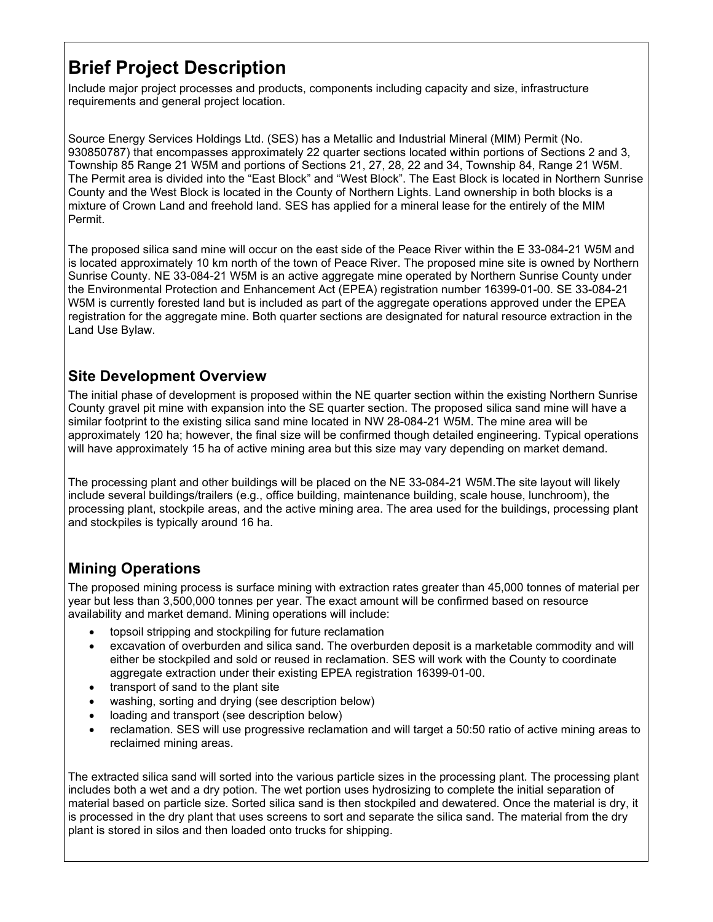# **Brief Project Description**

Include major project processes and products, components including capacity and size, infrastructure requirements and general project location.

Source Energy Services Holdings Ltd. (SES) has a Metallic and Industrial Mineral (MIM) Permit (No. 930850787) that encompasses approximately 22 quarter sections located within portions of Sections 2 and 3, Township 85 Range 21 W5M and portions of Sections 21, 27, 28, 22 and 34, Township 84, Range 21 W5M. The Permit area is divided into the "East Block" and "West Block". The East Block is located in Northern Sunrise County and the West Block is located in the County of Northern Lights. Land ownership in both blocks is a mixture of Crown Land and freehold land. SES has applied for a mineral lease for the entirely of the MIM Permit.

The proposed silica sand mine will occur on the east side of the Peace River within the E 33-084-21 W5M and is located approximately 10 km north of the town of Peace River. The proposed mine site is owned by Northern Sunrise County. NE 33-084-21 W5M is an active aggregate mine operated by Northern Sunrise County under the Environmental Protection and Enhancement Act (EPEA) registration number 16399-01-00. SE 33-084-21 W5M is currently forested land but is included as part of the aggregate operations approved under the EPEA registration for the aggregate mine. Both quarter sections are designated for natural resource extraction in the Land Use Bylaw.

#### **Site Development Overview**

The initial phase of development is proposed within the NE quarter section within the existing Northern Sunrise County gravel pit mine with expansion into the SE quarter section. The proposed silica sand mine will have a similar footprint to the existing silica sand mine located in NW 28-084-21 W5M. The mine area will be approximately 120 ha; however, the final size will be confirmed though detailed engineering. Typical operations will have approximately 15 ha of active mining area but this size may vary depending on market demand.

The processing plant and other buildings will be placed on the NE 33-084-21 W5M.The site layout will likely include several buildings/trailers (e.g., office building, maintenance building, scale house, lunchroom), the processing plant, stockpile areas, and the active mining area. The area used for the buildings, processing plant and stockpiles is typically around 16 ha.

### **Mining Operations**

The proposed mining process is surface mining with extraction rates greater than 45,000 tonnes of material per year but less than 3,500,000 tonnes per year. The exact amount will be confirmed based on resource availability and market demand. Mining operations will include:

- topsoil stripping and stockpiling for future reclamation
- excavation of overburden and silica sand. The overburden deposit is a marketable commodity and will either be stockpiled and sold or reused in reclamation. SES will work with the County to coordinate aggregate extraction under their existing EPEA registration 16399-01-00.
- transport of sand to the plant site
- washing, sorting and drying (see description below)
- loading and transport (see description below)
- reclamation. SES will use progressive reclamation and will target a 50:50 ratio of active mining areas to reclaimed mining areas.

The extracted silica sand will sorted into the various particle sizes in the processing plant. The processing plant includes both a wet and a dry potion. The wet portion uses hydrosizing to complete the initial separation of material based on particle size. Sorted silica sand is then stockpiled and dewatered. Once the material is dry, it is processed in the dry plant that uses screens to sort and separate the silica sand. The material from the dry plant is stored in silos and then loaded onto trucks for shipping.